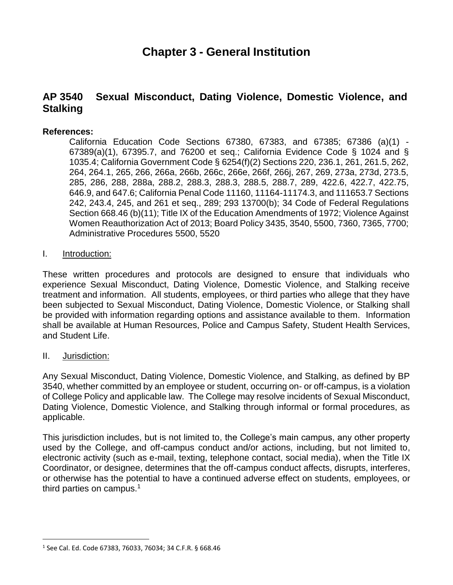# **Chapter 3 - General Institution**

## **AP 3540 Sexual Misconduct, Dating Violence, Domestic Violence, and Stalking**

#### **References:**

California Education Code Sections 67380, 67383, and 67385; 67386 (a)(1) - 67389(a)(1), 67395.7, and 76200 et seq.; California Evidence Code § 1024 and § 1035.4; California Government Code § 6254(f)(2) Sections 220, 236.1, 261, 261.5, 262, 264, 264.1, 265, 266, 266a, 266b, 266c, 266e, 266f, 266j, 267, 269, 273a, 273d, 273.5, 285, 286, 288, 288a, 288.2, 288.3, 288.3, 288.5, 288.7, 289, 422.6, 422.7, 422.75, 646.9, and 647.6; California Penal Code 11160, 11164-11174.3, and 111653.7 Sections 242, 243.4, 245, and 261 et seq., 289; 293 13700(b); 34 Code of Federal Regulations Section 668.46 (b)(11); Title IX of the Education Amendments of 1972; Violence Against Women Reauthorization Act of 2013; Board Policy 3435, 3540, 5500, 7360, 7365, 7700; Administrative Procedures 5500, 5520

#### I. Introduction:

These written procedures and protocols are designed to ensure that individuals who experience Sexual Misconduct, Dating Violence, Domestic Violence, and Stalking receive treatment and information. All students, employees, or third parties who allege that they have been subjected to Sexual Misconduct, Dating Violence, Domestic Violence, or Stalking shall be provided with information regarding options and assistance available to them. Information shall be available at Human Resources, Police and Campus Safety, Student Health Services, and Student Life.

#### II. Jurisdiction:

Any Sexual Misconduct, Dating Violence, Domestic Violence, and Stalking, as defined by BP 3540, whether committed by an employee or student, occurring on- or off-campus, is a violation of College Policy and applicable law. The College may resolve incidents of Sexual Misconduct, Dating Violence, Domestic Violence, and Stalking through informal or formal procedures, as applicable.

This jurisdiction includes, but is not limited to, the College's main campus, any other property used by the College, and off-campus conduct and/or actions, including, but not limited to, electronic activity (such as e-mail, texting, telephone contact, social media), when the Title IX Coordinator, or designee, determines that the off-campus conduct affects, disrupts, interferes, or otherwise has the potential to have a continued adverse effect on students, employees, or third parties on campus.<sup>1</sup>

<sup>1</sup> See Cal. Ed. Code 67383, 76033, 76034; 34 C.F.R. § 668.46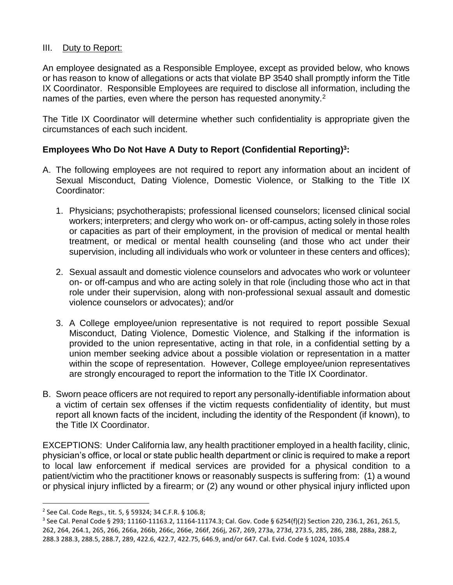#### III. Duty to Report:

An employee designated as a Responsible Employee, except as provided below, who knows or has reason to know of allegations or acts that violate BP 3540 shall promptly inform the Title IX Coordinator. Responsible Employees are required to disclose all information, including the names of the parties, even where the person has requested anonymity.<sup>2</sup>

The Title IX Coordinator will determine whether such confidentiality is appropriate given the circumstances of each such incident.

## **Employees Who Do Not Have A Duty to Report (Confidential Reporting)<sup>3</sup> :**

- A. The following employees are not required to report any information about an incident of Sexual Misconduct, Dating Violence, Domestic Violence, or Stalking to the Title IX Coordinator:
	- 1. Physicians; psychotherapists; professional licensed counselors; licensed clinical social workers; interpreters; and clergy who work on- or off-campus, acting solely in those roles or capacities as part of their employment, in the provision of medical or mental health treatment, or medical or mental health counseling (and those who act under their supervision, including all individuals who work or volunteer in these centers and offices);
	- 2. Sexual assault and domestic violence counselors and advocates who work or volunteer on- or off-campus and who are acting solely in that role (including those who act in that role under their supervision, along with non-professional sexual assault and domestic violence counselors or advocates); and/or
	- 3. A College employee/union representative is not required to report possible Sexual Misconduct, Dating Violence, Domestic Violence, and Stalking if the information is provided to the union representative, acting in that role, in a confidential setting by a union member seeking advice about a possible violation or representation in a matter within the scope of representation. However, College employee/union representatives are strongly encouraged to report the information to the Title IX Coordinator.
- B. Sworn peace officers are not required to report any personally-identifiable information about a victim of certain sex offenses if the victim requests confidentiality of identity, but must report all known facts of the incident, including the identity of the Respondent (if known), to the Title IX Coordinator.

EXCEPTIONS: Under California law, any health practitioner employed in a health facility, clinic, physician's office, or local or state public health department or clinic is required to make a report to local law enforcement if medical services are provided for a physical condition to a patient/victim who the practitioner knows or reasonably suspects is suffering from: (1) a wound or physical injury inflicted by a firearm; or (2) any wound or other physical injury inflicted upon

l

<sup>2</sup> See Cal. Code Regs., tit. 5, § 59324; 34 C.F.R. § 106.8;

<sup>3</sup> See Cal. Penal Code § 293; 11160-11163.2, 11164-11174.3; Cal. Gov. Code § 6254(f)(2) Section 220, 236.1, 261, 261.5, 262, 264, 264.1, 265, 266, 266a, 266b, 266c, 266e, 266f, 266j, 267, 269, 273a, 273d, 273.5, 285, 286, 288, 288a, 288.2, 288.3 288.3, 288.5, 288.7, 289, 422.6, 422.7, 422.75, 646.9, and/or 647. Cal. Evid. Code § 1024, 1035.4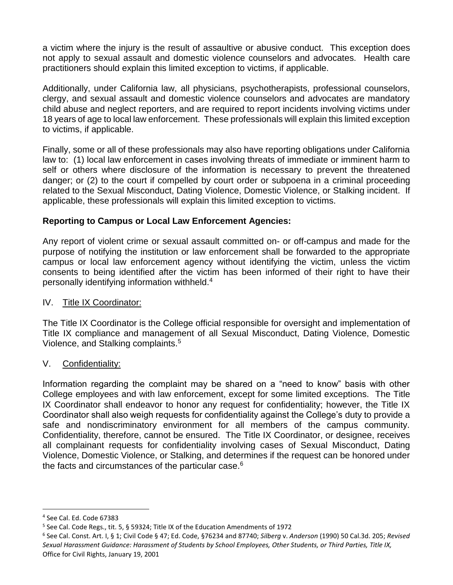a victim where the injury is the result of assaultive or abusive conduct. This exception does not apply to sexual assault and domestic violence counselors and advocates. Health care practitioners should explain this limited exception to victims, if applicable.

Additionally, under California law, all physicians, psychotherapists, professional counselors, clergy, and sexual assault and domestic violence counselors and advocates are mandatory child abuse and neglect reporters, and are required to report incidents involving victims under 18 years of age to local law enforcement. These professionals will explain this limited exception to victims, if applicable.

Finally, some or all of these professionals may also have reporting obligations under California law to: (1) local law enforcement in cases involving threats of immediate or imminent harm to self or others where disclosure of the information is necessary to prevent the threatened danger; or (2) to the court if compelled by court order or subpoena in a criminal proceeding related to the Sexual Misconduct, Dating Violence, Domestic Violence, or Stalking incident. If applicable, these professionals will explain this limited exception to victims.

## **Reporting to Campus or Local Law Enforcement Agencies:**

Any report of violent crime or sexual assault committed on- or off-campus and made for the purpose of notifying the institution or law enforcement shall be forwarded to the appropriate campus or local law enforcement agency without identifying the victim, unless the victim consents to being identified after the victim has been informed of their right to have their personally identifying information withheld.<sup>4</sup>

#### IV. Title IX Coordinator:

The Title IX Coordinator is the College official responsible for oversight and implementation of Title IX compliance and management of all Sexual Misconduct, Dating Violence, Domestic Violence, and Stalking complaints.<sup>5</sup>

## V. Confidentiality:

Information regarding the complaint may be shared on a "need to know" basis with other College employees and with law enforcement, except for some limited exceptions. The Title IX Coordinator shall endeavor to honor any request for confidentiality; however, the Title IX Coordinator shall also weigh requests for confidentiality against the College's duty to provide a safe and nondiscriminatory environment for all members of the campus community. Confidentiality, therefore, cannot be ensured. The Title IX Coordinator, or designee, receives all complainant requests for confidentiality involving cases of Sexual Misconduct, Dating Violence, Domestic Violence, or Stalking, and determines if the request can be honored under the facts and circumstances of the particular case.<sup>6</sup>

<sup>4</sup> See Cal. Ed. Code 67383

<sup>5</sup> See Cal. Code Regs., tit. 5, § 59324; Title IX of the Education Amendments of 1972

<sup>6</sup> See Cal. Const. Art. I, § 1; Civil Code § 47; Ed. Code, §76234 and 87740; *Silberg* v. *Anderson* (1990) 50 Cal.3d. 205; *Revised Sexual Harassment Guidance: Harassment of Students by School Employees, Other Students, or Third Parties, Title IX,*  Office for Civil Rights, January 19, 2001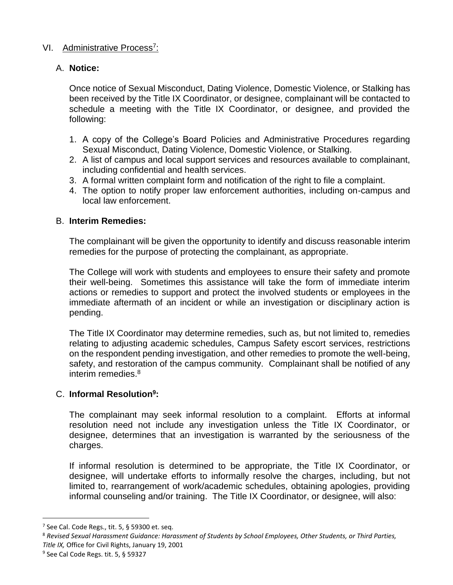## VI. Administrative Process<sup>7</sup>:

## A. **Notice:**

Once notice of Sexual Misconduct, Dating Violence, Domestic Violence, or Stalking has been received by the Title IX Coordinator, or designee, complainant will be contacted to schedule a meeting with the Title IX Coordinator, or designee, and provided the following:

- 1. A copy of the College's Board Policies and Administrative Procedures regarding Sexual Misconduct, Dating Violence, Domestic Violence, or Stalking.
- 2. A list of campus and local support services and resources available to complainant, including confidential and health services.
- 3. A formal written complaint form and notification of the right to file a complaint.
- 4. The option to notify proper law enforcement authorities, including on-campus and local law enforcement.

#### B. **Interim Remedies:**

The complainant will be given the opportunity to identify and discuss reasonable interim remedies for the purpose of protecting the complainant, as appropriate.

The College will work with students and employees to ensure their safety and promote their well-being. Sometimes this assistance will take the form of immediate interim actions or remedies to support and protect the involved students or employees in the immediate aftermath of an incident or while an investigation or disciplinary action is pending.

The Title IX Coordinator may determine remedies, such as, but not limited to, remedies relating to adjusting academic schedules, Campus Safety escort services, restrictions on the respondent pending investigation, and other remedies to promote the well-being, safety, and restoration of the campus community. Complainant shall be notified of any interim remedies.<sup>8</sup>

## C. **Informal Resolution<sup>9</sup> :**

The complainant may seek informal resolution to a complaint. Efforts at informal resolution need not include any investigation unless the Title IX Coordinator, or designee, determines that an investigation is warranted by the seriousness of the charges.

If informal resolution is determined to be appropriate, the Title IX Coordinator, or designee, will undertake efforts to informally resolve the charges, including, but not limited to, rearrangement of work/academic schedules, obtaining apologies, providing informal counseling and/or training. The Title IX Coordinator, or designee, will also:

l

 $7$  See Cal. Code Regs., tit. 5, § 59300 et. seq.

<sup>8</sup> *Revised Sexual Harassment Guidance: Harassment of Students by School Employees, Other Students, or Third Parties, Title IX,* Office for Civil Rights, January 19, 2001

<sup>9</sup> See Cal Code Regs. tit. 5, § 59327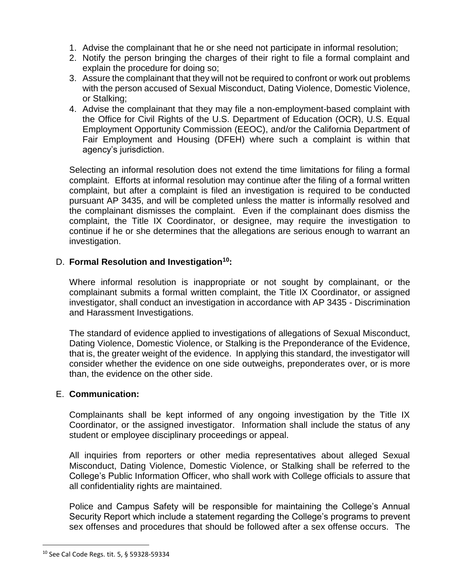- 1. Advise the complainant that he or she need not participate in informal resolution;
- 2. Notify the person bringing the charges of their right to file a formal complaint and explain the procedure for doing so;
- 3. Assure the complainant that they will not be required to confront or work out problems with the person accused of Sexual Misconduct, Dating Violence, Domestic Violence, or Stalking;
- 4. Advise the complainant that they may file a non-employment-based complaint with the Office for Civil Rights of the U.S. Department of Education (OCR), U.S. Equal Employment Opportunity Commission (EEOC), and/or the California Department of Fair Employment and Housing (DFEH) where such a complaint is within that agency's jurisdiction.

Selecting an informal resolution does not extend the time limitations for filing a formal complaint. Efforts at informal resolution may continue after the filing of a formal written complaint, but after a complaint is filed an investigation is required to be conducted pursuant AP 3435, and will be completed unless the matter is informally resolved and the complainant dismisses the complaint. Even if the complainant does dismiss the complaint, the Title IX Coordinator, or designee, may require the investigation to continue if he or she determines that the allegations are serious enough to warrant an investigation.

## D. **Formal Resolution and Investigation<sup>10</sup>:**

Where informal resolution is inappropriate or not sought by complainant, or the complainant submits a formal written complaint, the Title IX Coordinator, or assigned investigator, shall conduct an investigation in accordance with AP 3435 - Discrimination and Harassment Investigations.

The standard of evidence applied to investigations of allegations of Sexual Misconduct, Dating Violence, Domestic Violence, or Stalking is the Preponderance of the Evidence, that is, the greater weight of the evidence. In applying this standard, the investigator will consider whether the evidence on one side outweighs, preponderates over, or is more than, the evidence on the other side.

## E. **Communication:**

Complainants shall be kept informed of any ongoing investigation by the Title IX Coordinator, or the assigned investigator. Information shall include the status of any student or employee disciplinary proceedings or appeal.

All inquiries from reporters or other media representatives about alleged Sexual Misconduct, Dating Violence, Domestic Violence, or Stalking shall be referred to the College's Public Information Officer, who shall work with College officials to assure that all confidentiality rights are maintained.

Police and Campus Safety will be responsible for maintaining the College's Annual Security Report which include a statement regarding the College's programs to prevent sex offenses and procedures that should be followed after a sex offense occurs. The

<sup>10</sup> See Cal Code Regs. tit. 5, § 59328-59334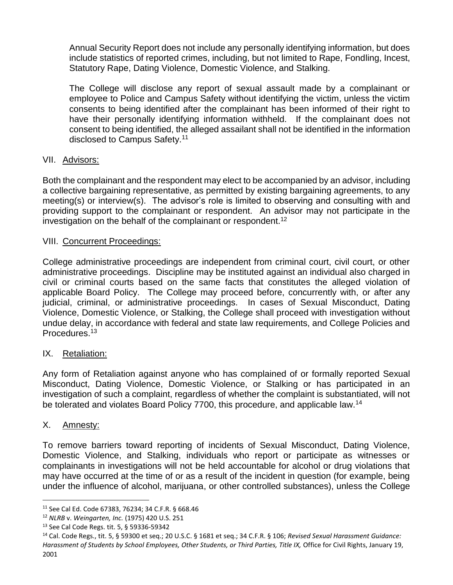Annual Security Report does not include any personally identifying information, but does include statistics of reported crimes, including, but not limited to Rape, Fondling, Incest, Statutory Rape, Dating Violence, Domestic Violence, and Stalking.

The College will disclose any report of sexual assault made by a complainant or employee to Police and Campus Safety without identifying the victim, unless the victim consents to being identified after the complainant has been informed of their right to have their personally identifying information withheld. If the complainant does not consent to being identified, the alleged assailant shall not be identified in the information disclosed to Campus Safety.<sup>11</sup>

## VII. Advisors:

Both the complainant and the respondent may elect to be accompanied by an advisor, including a collective bargaining representative, as permitted by existing bargaining agreements, to any meeting(s) or interview(s). The advisor's role is limited to observing and consulting with and providing support to the complainant or respondent. An advisor may not participate in the investigation on the behalf of the complainant or respondent.<sup>12</sup>

## VIII. Concurrent Proceedings:

College administrative proceedings are independent from criminal court, civil court, or other administrative proceedings. Discipline may be instituted against an individual also charged in civil or criminal courts based on the same facts that constitutes the alleged violation of applicable Board Policy. The College may proceed before, concurrently with, or after any judicial, criminal, or administrative proceedings. In cases of Sexual Misconduct, Dating Violence, Domestic Violence, or Stalking, the College shall proceed with investigation without undue delay, in accordance with federal and state law requirements, and College Policies and Procedures.<sup>13</sup>

#### IX. Retaliation:

Any form of Retaliation against anyone who has complained of or formally reported Sexual Misconduct, Dating Violence, Domestic Violence, or Stalking or has participated in an investigation of such a complaint, regardless of whether the complaint is substantiated, will not be tolerated and violates Board Policy 7700, this procedure, and applicable law.<sup>14</sup>

#### X. Amnesty:

l

To remove barriers toward reporting of incidents of Sexual Misconduct, Dating Violence, Domestic Violence, and Stalking, individuals who report or participate as witnesses or complainants in investigations will not be held accountable for alcohol or drug violations that may have occurred at the time of or as a result of the incident in question (for example, being under the influence of alcohol, marijuana, or other controlled substances), unless the College

<sup>11</sup> See Cal Ed. Code 67383, 76234; 34 C.F.R. § 668.46

<sup>12</sup> *NLRB* v. *Weingarten, Inc.* (1975) 420 U.S. 251

<sup>13</sup> See Cal Code Regs. tit. 5, § 59336-59342

<sup>14</sup> Cal. Code Regs., tit. 5, § 59300 et seq.; 20 U.S.C. § 1681 et seq.; 34 C.F.R. § 106; *Revised Sexual Harassment Guidance: Harassment of Students by School Employees, Other Students, or Third Parties, Title IX,* Office for Civil Rights, January 19, 2001